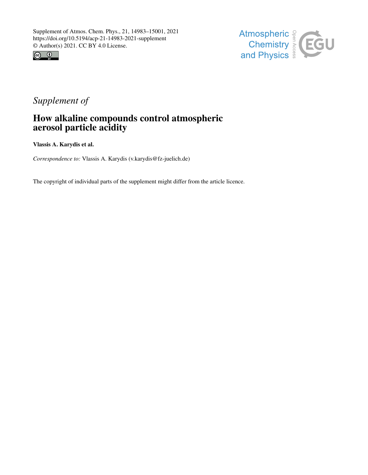



## *Supplement of*

## How alkaline compounds control atmospheric aerosol particle acidity

Vlassis A. Karydis et al.

*Correspondence to:* Vlassis A. Karydis (v.karydis@fz-juelich.de)

The copyright of individual parts of the supplement might differ from the article licence.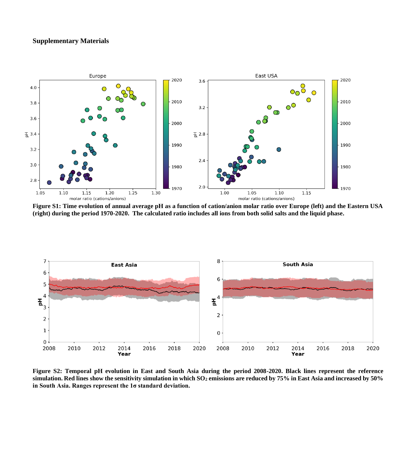## **Supplementary Materials**



**Figure S1: Time evolution of annual average pH as a function of cation/anion molar ratio over Europe (left) and the Eastern USA (right) during the period 1970-2020. The calculated ratio includes all ions from both solid salts and the liquid phase.**



**Figure S2: Temporal pH evolution in East and South Asia during the period 2008-2020. Black lines represent the reference simulation. Red lines show the sensitivity simulation in which SO<sup>2</sup> emissions are reduced by 75% in East Asia and increased by 50% in South Asia. Ranges represent the 1σ standard deviation.**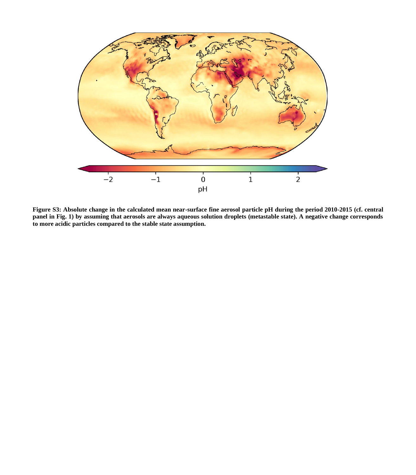

**Figure S3: Absolute change in the calculated mean near-surface fine aerosol particle pH during the period 2010-2015 (cf. central**  panel in Fig. 1) by assuming that aerosols are always aqueous solution droplets (metastable state). A negative change corresponds **to more acidic particles compared to the stable state assumption.**